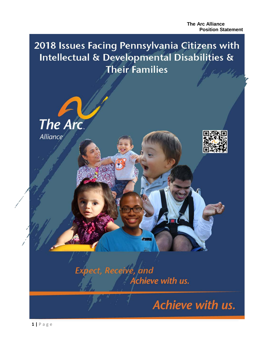



Achieve with us.

The Arc.

**Alliance**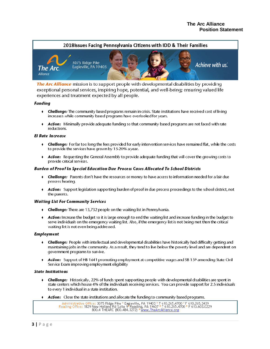

The Arc Alliance mission is to support people with developmental disabilities by providing exceptional personal services, inspiring hope, potential, and well-being; ensuring valued life experiences and treatment expected by all people.

### **Funding**

- + Challenge: The community based programs remain in crisis. State institutions have received cost of living increases while community based programs have overlooked for years.
- Action: Minimally provide adequate funding so that community based programs are not faced with rate ٠ reductions.

### **El Rate Increase**

- ← Challenge: For far too long the fees provided for early intervention services have remained flat, while the costs to provide the services have grown by 15-20% a year.
- **Action:** Requesting the General Assembly to provide adequate funding that will cover the growing costs to provide critical services.

### Burden of Proof In Special Education Due Process Cases Allocated To School Districts

- Challenge: Parents don't have the resources or money to have access to information needed for a fair due  $\bullet$ process hearing.
- Action: Support legislation supporting burden of proof in due process proceedings to the school district, not the parents.

#### **Waiting List For Community Services**

- Challenge: There are 13,732 people on the waiting list in Pennsylvania.
- Action: Increase the budget so it is large enough to end the waiting list and increase funding in the budget to serve individuals on the emergency waiting list. Also, if the emergency list is not being met then the critical waiting list is not even being addressed.

#### **Employment**

- Challenge: People with intellectual and developmental disabilities have historically had difficulty getting and  $\bullet$ maintaining jobs in the community. As a result, they tend to live below the poverty level and are dependent on government programs to survive.
- Action: Support of HB 1641 promoting employment at competitive wages and SB 159 amending State Civil  $\ddot{\bullet}$ Service Exam improving employment eligibility

#### **State Institutions**

- Challenge: Historically, 22% of funds spent supporting people with developmental disabilities are spent in  $\bullet$ state centers which house 4% of the individuals receiving services. You can provide support for 2.5 individuals to every 1 individual in a state institution.
- $\ddot{\bullet}$ Action: Close the state institutions and allocate the funding to community based programs.

Administrative Office: 3075 Ridge Pike <sup>a</sup> Eagleville, PA 19403 <sup>a</sup> T 610.265.4700 <sup>a</sup> F 610.265.3439<br>Reading Office: 1829 New Holland Rd Suite 9<sup>#</sup> Reading, PA 19607 <sup>a</sup> T 610.265.4700 <sup>a</sup> F 610.603.022<br>800.4 THEARC (800. F 610.603.0229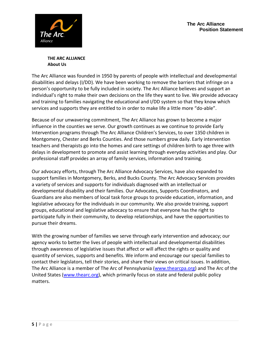

**THE ARC ALLIANCE About Us** 

The Arc Alliance was founded in 1950 by parents of people with intellectual and developmental disabilities and delays (I/DD). We have been working to remove the barriers that infringe on a person's opportunity to be fully included in society. The Arc Alliance believes and support an individual's right to make their own decisions on the life they want to live. We provide advocacy and training to families navigating the educational and I/DD system so that they know which services and supports they are entitled to in order to make life a little more "do-able".

Because of our unwavering commitment, The Arc Alliance has grown to become a major influence in the counties we serve. Our growth continues as we continue to provide Early Intervention programs through The Arc Alliance Children's Services, to over 1350 children in Montgomery, Chester and Berks Counties. And those numbers grow daily. Early intervention teachers and therapists go into the homes and care settings of children birth to age three with delays in development to promote and assist learning through everyday activities and play. Our professional staff provides an array of family services, information and training.

Our advocacy efforts, through The Arc Alliance Advocacy Services, have also expanded to support families in Montgomery, Berks, and Bucks County. The Arc Advocacy Services provides a variety of services and supports for individuals diagnosed with an intellectual or developmental disability and their families. Our Advocates, Supports Coordinators, and Guardians are also members of local task force groups to provide education, information, and legislative advocacy for the individuals in our community. We also provide training, support groups, educational and legislative advocacy to ensure that everyone has the right to participate fully in their community, to develop relationships, and have the opportunities to pursue their dreams.

With the growing number of families we serve through early intervention and advocacy; our agency works to better the lives of people with intellectual and developmental disabilities through awareness of legislative issues that affect or will affect the rights or quality and quantity of services, supports and benefits. We inform and encourage our special families to contact their legislators, tell their stories, and share their views on critical issues. In addition, The Arc Alliance is a member of The Arc of Pennsylvania [\(www.thearcpa.org\)](http://www.thearcpa.org/) and The Arc of the United States [\(www.thearc.org\)](http://www.thearc.org/), which primarily focus on state and federal public policy matters.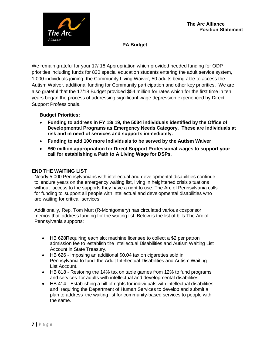

# **PA Budget**

We remain grateful for your 17/ 18 Appropriation which provided needed funding for ODP priorities including funds for 820 special education students entering the adult service system, 1,000 individuals joining the Community Living Waiver, 50 adults being able to access the Autism Waiver, additional funding for Community participation and other key priorities. We are also grateful that the 17/18 Budget provided \$54 million for rates which for the first time in ten years began the process of addressing significant wage depression experienced by Direct Support Professionals.

# **Budget Priorities:**

- **Funding to address in FY 18/ 19, the 5034 individuals identified by the Office of Developmental Programs as Emergency Needs Category. These are individuals at risk and in need of services and supports immediately.**
- **Funding to add 100 more individuals to be served by the Autism Waiver**
- **\$60 million appropriation for Direct Support Professional wages to support your call for establishing a Path to A Living Wage for DSPs.**

## **END THE WAITING LIST**

Nearly 5,000 Pennsylvanians with intellectual and developmental disabilities continue to endure years on the emergency waiting list, living in heightened crisis situations without access to the supports they have a right to use. The Arc of Pennsylvania calls for funding to support all people with intellectual and developmental disabilities who are waiting for critical services.

Additionally, Rep. Tom Murt (R-Montgomery) has circulated various cosponsor memos that address funding for the waiting list. Below is the list of bills The Arc of Pennsylvania supports:

- HB 628Requiring each slot machine licensee to collect a \$2 per patron admission fee to establish the Intellectual Disabilities and Autism Waiting List Account in State Treasury.
- HB 626 Imposing an additional \$0.04 tax on cigarettes sold in Pennsylvania to fund the Adult Intellectual Disabilities and Autism Waiting List Account.
- HB 818 Restoring the 14% tax on table games from 12% to fund programs and services for adults with intellectual and developmental disabilities.
- HB 414 Establishing a bill of rights for individuals with intellectual disabilities and requiring the Department of Human Services to develop and submit a plan to address the waiting list for community-based services to people with the same.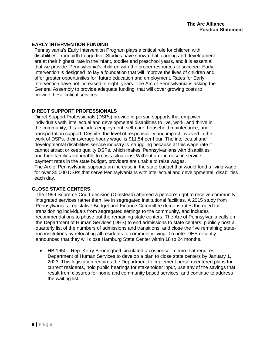## **EARLY INTERVENTION FUNDING**

Pennsylvania's Early Intervention Program plays a critical role for children with disabilities from birth to age five. Studies have shown that learning and development are at their highest rate in the infant, toddler and preschool years, and it is essential that we provide Pennsylvania's children with the proper resources to succeed. Early Intervention is designed to lay a foundation that will improve the lives of children and offer greater opportunities for future education and employment. Rates for Early Intervention have not increased in eight years. The Arc of Pennsylvania is asking the General Assembly to provide adequate funding that will cover growing costs to provide these critical services.

## **DIRECT SUPPORT PROFESSIONALS**

Direct Support Professionals (DSPs) provide in-person supports that empower individuals with intellectual and developmental disabilities to live, work, and thrive in the community; this includes employment, self-care, household maintenance, and transportation support. Despite the level of responsibility and impact involved in the work of DSPs, their average hourly wage is \$11.54 per hour. The intellectual and developmental disabilities service industry is struggling because at this wage rate it cannot attract or keep quality DSPs, which makes Pennsylvanians with disabilities and their families vulnerable to crisis situations. Without an increase in service payment rates in the state budget, providers are unable to raise wages. The Arc of Pennsylvania supports an increase in the state budget that would fund a living wage

for over 35,000 DSPs that serve Pennsylvanians with intellectual and developmental disabilities each day.

## **CLOSE STATE CENTERS**

The 1999 Supreme Court decision (Olmstead) affirmed a person's right to receive community integrated services rather than live in segregated institutional facilities. A 2015 study from Pennsylvania's Legislative Budget and Finance Committee demonstrates the need for transitioning individuals from segregated settings to the community, and includes recommendations to phase out the remaining state centers. The Arc of Pennsylvania calls on the Department of Human Services (DHS) to end admissions to state centers, publicly post a quarterly list of the numbers of admissions and transitions, and close the five remaining staterun institutions by relocating all residents to community living. To note: DHS recently announced that they will close Hamburg State Center within 18 to 24 months.

• HB 1650 - Rep. Kerry Benninghoff circulated a cosponsor memo that requires Department of Human Services to develop a plan to close state centers by January 1, 2023. This legislation requires the Department to implement person-centered plans for current residents, hold public hearings for stakeholder input, use any of the savings that result from closures for home and community based services, and continue to address the waiting list.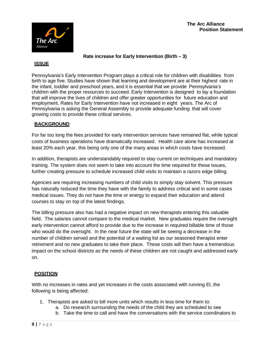

# **Rate increase for Early Intervention (Birth – 3)**

# **ISSUE**

Pennsylvania's Early Intervention Program plays a critical role for children with disabilities from birth to age five. Studies have shown that learning and development are at their highest rate in the infant, toddler and preschool years, and it is essential that we provide Pennsylvania's children with the proper resources to succeed. Early Intervention is designed to lay a foundation that will improve the lives of children and offer greater opportunities for future education and employment. Rates for Early Intervention have not increased in eight years. The Arc of Pennsylvania is asking the General Assembly to provide adequate funding that will cover growing costs to provide these critical services.

# **BACKGROUND**

For far too long the fees provided for early intervention services have remained flat, while typical costs of business operations have dramatically increased. Health care alone has increased at least 20% each year, this being only one of the many areas in which costs have increased.

In addition, therapists are understandably required to stay current on techniques and mandatory training. The system does not seem to take into account the time required for these issues, further creating pressure to schedule increased child visits to maintain a razors edge billing.

Agencies are requiring increasing numbers of child visits to simply stay solvent. This pressure has naturally reduced the time they have with the family to address critical and in some cases medical issues. They do not have the time or energy to expand their education and attend courses to stay on top of the latest findings.

The billing pressure also has had a negative impact on new therapists entering this valuable field. The salaries cannot compare to the medical market. New graduates require the oversight early intervention cannot afford to provide due to the increase in required billable time of those who would do the oversight. In the near future the state will be seeing a decrease in the number of children served and the potential of a waiting list as our seasoned therapist enter retirement and no new graduates to take their place. These costs will then have a tremendous impact on the school districts as the needs of these children are not caught and addressed early on.

# **POSITION**

With no increases in rates and yet increases in the costs associated with running El, the following is being affected:

- 1. Therapists are asked to bill more units which results in less time for them to:
	- a. Do research surrounding the needs of the child they are scheduled to see
	- b. Take the time to call and have the conversations with the service coordinators to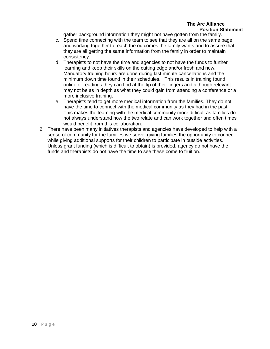gather background information they might not have gotten from the family.

- c. Spend time connecting with the team to see that they are all on the same page and working together to reach the outcomes the family wants and to assure that they are all getting the same information from the family in order to maintain consistency.
- d. Therapists to not have the time and agencies to not have the funds to further learning and keep their skills on the cutting edge and/or fresh and new. Mandatory training hours are done during last minute cancellations and the minimum down time found in their schedules. This results in training found online or readings they can find at the tip of their fingers and although relevant may not be as in depth as what they could gain from attending a conference or a more inclusive training.
- e. Therapists tend to get more medical information from the families. They do not have the time to connect with the medical community as they had in the past. This makes the teaming with the medical community more difficult as families do not always understand how the two relate and can work together and often times would benefit from this collaboration.
- 2. There have been many initiatives therapists and agencies have developed to help with a sense of community for the families we serve, giving families the opportunity to connect while giving additional supports for their children to participate in outside activities. Unless grant funding (which is difficult to obtain) is provided, agency do not have the funds and therapists do not have the time to see these come to fruition.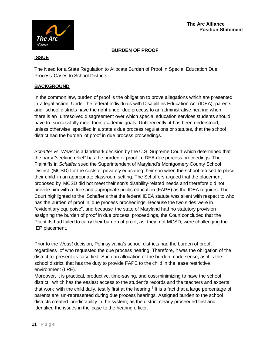

# **BURDEN OF PROOF**

## **ISSUE**

The Need for a State Regulation to Allocate Burden of Proof in Special Education Due Process Cases to School Districts

# **BACKGROUND**

In the common law, burden of proof is the obligation to prove allegations which are presented in a legal action. Under the federal Individuals with Disabilities Education Act (IDEA), parents and school districts have the right under due process to an administrative hearing when there is an unresolved disagreement over which special education services students should have to successfully meet their academic goals. Until recently, it has been understood, unless otherwise specified in a state's due process regulations or statutes, that the school district had the burden of proof in due process proceedings.

*Schaffer vs. Weast* is a landmark decision by the U.S. Supreme Court which determined that the party "seeking relief" has the burden of proof in IDEA due process proceedings. The Plaintiffs in *Schaffer* sued the Superintendent of Maryland's Montgomery County School District (MCSD) for the costs of privately educating their son when the school refused to place their child in an appropriate classroom setting. The Schaffers argued that the placement proposed by MCSD did not meet their son's disability-related needs and therefore did not provide him with a free and appropriate public education (FAPE) as the IDEA requires. The Court highlighted to the Schaffer's that the federal IDEA statute was silent with respect to who has the burden of proof in due process proceedings. Because the two sides were in "evidentiary equipoise", and because the state of Maryland had no statutory provision assigning the burden of proof in due process proceedings, the Court concluded that the Plaintiffs had failed to carry their burden of proof, as they, not MCSD, were challenging the IEP placement.

Prior to the *Weast* decision, Pennsylvania's school districts had the burden of proof, regardless of who requested the due process hearing. Therefore, it was the obligation of the district to present its case first. Such an allocation of the burden made sense, as it is the school district that has the duty to provide FAPE to the child in the lease restrictive environment (LRE).

Moreover, it is practical, productive, time-saving, and cost-minimizing to have the school district, which has the easiest access to the student's records and the teachers and experts that work with the child daily, testify first at the hearing.<sup>1</sup> It is a fact that a large percentage of parents are un-represented during due process hearings. Assigned burden to the school districts created predictability in the system; as the district clearly proceeded first and identified the issues in the case to the hearing officer.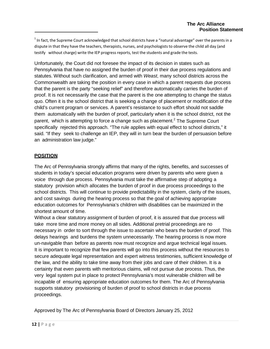<span id="page-11-0"></span> $1$  In fact, the Supreme Court acknowledged that school districts have a "natural advantage" over the parents in a dispute in that they have the teachers, therapists, nurses, and psychologists to observe the child all day (and testify without charge) write the IEP progress reports, test the students and grade the tests.

Unfortunately, the Court did not foresee the impact of its decision in states such as Pennsylvania that have no assigned the burden of proof in their due process regulations and statutes. Without such clarification, and armed with *Weast*, many school districts across the Commonwealth are taking the position in every case in which a parent requests due process that the parent is the party "seeking relief" and therefore automatically carries the burden of proof. It is not necessarily the case that the parent is the one attempting to change the status quo. Often it is the school district that is seeking a change of placement or modification of the child's current program or services. A parent's resistance to such effort should not saddle them automatically with the burden of proof, particularly when it is the school district, not the parent, which is attempting to force a change such as placement.<sup>2</sup> The Supreme Court specifically rejected this approach. "The rule applies with equal effect to school districts," it said. "If they seek to challenge an IEP, they will in turn bear the burden of persuasion before an administration law judge."

# **POSITION**

The Arc of Pennsylvania strongly affirms that many of the rights, benefits, and successes of students in today's special education programs were driven by parents who were given a voice through due process. Pennsylvania must take the affirmative step of adopting a statutory provision which allocates the burden of proof in due process proceedings to the school districts. This will continue to provide predictability in the system, clarity of the issues, and cost savings during the hearing process so that the goal of achieving appropriate education outcomes for Pennsylvania's children with disabilities can be maximized in the shortest amount of time.

Without a clear statutory assignment of burden of proof, it is assured that due process will take more time and more money on all sides. Additional pretrial proceedings are no necessary in order to sort through the issue to ascertain who bears the burden of proof. This delays hearings and burdens the system unnecessarily. The hearing process is now more un-navigable than before as parents now must recognize and argue technical legal issues. It is important to recognize that few parents will go into this process without the resources to secure adequate legal representation and expert witness testimonies, sufficient knowledge of the law, and the ability to take time away from their jobs and care of their children. It is a certainty that even parents with meritorious claims, will not pursue due process. Thus, the very legal system put in place to protect Pennsylvania's most vulnerable children will be incapable of ensuring appropriate education outcomes for them. The Arc of Pennsylvania supports statutory provisioning of burden of proof to school districts in due process proceedings.

Approved by The Arc of Pennsylvania Board of Directors January 25, 2012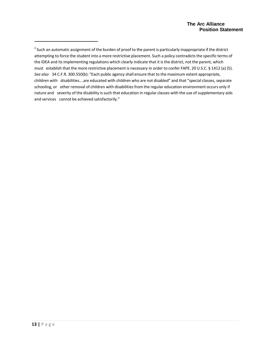<span id="page-12-0"></span> $2$  Such an automatic assignment of the burden of proof to the parent is particularly inappropriate if the district attempting to force the student into a more restrictive placement. Such a policy contradicts the specific terms of the IDEA and itsimplementing regulations which clearly indicate that it isthe district, not the parent, which must establish that the more restrictive placement is necessary in order to confer FAPE. 20 U.S.C. § 1412 (a) (5). *See also* 34 C.F.R. 300.550(b): "Each public agency shall ensure that to the maximum extent appropriate, children with disabilities….are educated with children who are not disabled" and that "special classes, separate schooling, or other removal of children with disabilities from the regular education environment occurs only if nature and severity of the disability is such that education in regular classes with the use of supplementary aids and services cannot be achieved satisfactorily."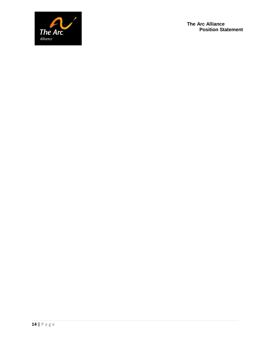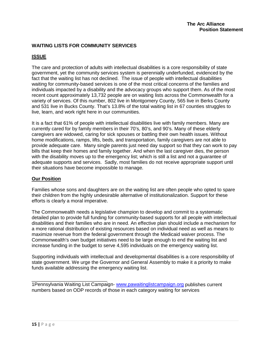# **WAITING LISTS FOR COMMUNITY SERVICES**

# **ISSUE**

The care and protection of adults with intellectual disabilities is a core responsibility of state government, yet the community services system is perennially underfunded, evidenced by the fact that the waiting list has not declined. The issue of people with intellectual disabilities waiting for community-based services is one of the most critical concerns of the families and individuals impacted by a disability and the advocacy groups who support them. As of the most recent count approximately 13,732 people are on waiting lists across the Commonwealth for a variety of services. Of this number, 802 live in Montgomery County, 565 live in Berks County and 531 live in Bucks County. That's 13.8% of the total waiting list in 67 counties struggles to live, learn, and work right here in our communities.

It is a fact that 61% of people with intellectual disabilities live with family members. Many are currently cared for by family members in their 70's, 80's, and 90's. Many of these elderly caregivers are widowed, caring for sick spouses or battling their own health issues. Without home modifications, ramps, lifts, beds, and transportation, family caregivers are not able to provide adequate care. Many single parents just need day support so that they can work to pay bills that keep their homes and family together. And when the last caregiver dies, the person with the disability moves up to the emergency list; which is still a list and not a guarantee of adequate supports and services. Sadly, most families do not receive appropriate support until their situations have become impossible to manage.

### **Our Position**

Families whose sons and daughters are on the waiting list are often people who opted to spare their children from the highly undesirable alternative of institutionalization. Support for these efforts is clearly a moral imperative.

The Commonwealth needs a legislative champion to develop and commit to a systematic detailed plan to provide full funding for community-based supports for all people with intellectual disabilities and their families who are in need. An effective plan should include a mechanism for a more rational distribution of existing resources based on individual need as well as means to maximize revenue from the federal government through the Medicaid waiver process. The Commonwealth's own budget initiatives need to be large enough to end the waiting list and increase funding in the budget to serve 4,595 individuals on the emergency waiting list.

Supporting individuals with intellectual and developmental disabilities is a core responsibility of state government. We urge the Governor and General Assembly to make it a priority to make funds available addressing the emergency waiting list.

\_\_\_\_\_\_\_\_\_\_\_\_\_\_\_\_\_\_\_\_\_\_\_\_\_\_\_\_ 1Pennsylvania Waiting List Campaign- [www.pawaitinglistcampaign.org](http://www.pawaitinglistcampaign.org/) publishes current numbers based on ODP records of those in each category waiting for services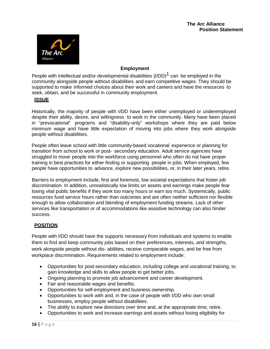

# **Employment**

People with intellectual and/or developmental disabilities  $(I/DD)^1$  can be employed in the community alongside people without disabilities and earn competitive wages. They should be supported to make informed choices about their work and careers and have the resources to seek, obtain, and be successful in community employment.

# **ISSUE**

Historically, the majority of people with I/DD have been either unemployed or underemployed despite their ability, desire, and willingness to work in the community. Many have been placed in "prevocational" programs and "disability-only" workshops where they are paid below minimum wage and have little expectation of moving into jobs where they work alongside people without disabilities.

People often leave school with little community-based vocational experience or planning for transition from school to work or post- secondary education. Adult service agencies have struggled to move people into the workforce using personnel who often do not have proper training in best practices for either finding or supporting people in jobs. When employed, few people have opportunities to advance, explore new possibilities, or, in their later years, retire.

Barriers to employment include, first and foremost, low societal expectations that foster job discrimination. In addition, unrealistically low limits on assets and earnings make people fear losing vital public benefits if they work too many hours or earn too much. Systemically, public resources fund service hours rather than outcomes and are often neither sufficient nor flexible enough to allow collaboration and blending of employment funding streams. Lack of other services like transportation or of accommodations like assistive technology can also hinder success.

# **POSITION**

People with I/DD should have the supports necessary from individuals and systems to enable them to find and keep community jobs based on their preferences, interests, and strengths, work alongside people without dis- abilities, receive comparable wages, and be free from workplace discrimination. Requirements related to employment include:

- Opportunities for post-secondary education, including college and vocational training, to gain knowledge and skills to allow people to get better jobs.
- Ongoing planning to promote job advancement and career development.
- Fair and reasonable wages and benefits.
- Opportunities for self-employment and business ownership.
- Opportunities to work with and, in the case of people with I/DD who own small businesses, employ people without disabilities.
- The ability to explore new directions over time and, at the appropriate time, retire.
- Opportunities to work and increase earnings and assets without losing eligibility for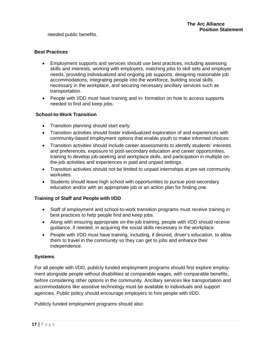needed public benefits.

## **Best Practices**

- Employment supports and services should use best practices, including assessing skills and interests, working with employers, matching jobs to skill sets and employer needs, providing individualized and ongoing job supports, designing reasonable job accommodations, integrating people into the workforce, building social skills necessary in the workplace, and securing necessary ancillary services such as transportation.
- People with I/DD must have training and in- formation on how to access supports needed to find and keep jobs.

## **School-to-Work Transition**

- Transition planning should start early.
- Transition activities should foster individualized exploration of and experiences with community-based employment options that enable youth to make informed choices.
- Transition activities should include career assessments to identify students' interests and preferences, exposure to post-secondary education and career opportunities, training to develop job-seeking and workplace skills, and participation in multiple onthe-job activities and experiences in paid and unpaid settings.
- Transition activities should not be limited to unpaid internships at pre-set community worksites.
- Students should leave high school with opportunities to pursue post-secondary education and/or with an appropriate job or an action plan for finding one.

## **Training of Staff and People with I/DD**

- Staff of employment and school-to-work transition programs must receive training in best practices to help people find and keep jobs.
- Along with ensuring appropriate on-the-job training, people with I/DD should receive guidance, if needed, in acquiring the social skills necessary in the workplace.
- People with I/DD must have training, including, if desired, driver's education, to allow them to travel in the community so they can get to jobs and enhance their independence.

### **Systems**

For all people with I/DD, publicly funded employment programs should first explore employment alongside people without disabilities at comparable wages, with comparable benefits, before considering other options in the community. Ancillary services like transportation and accommodations like assistive technology must be available to individuals and support agencies. Public policy should encourage employers to hire people with I/DD.

Publicly funded employment programs should also: